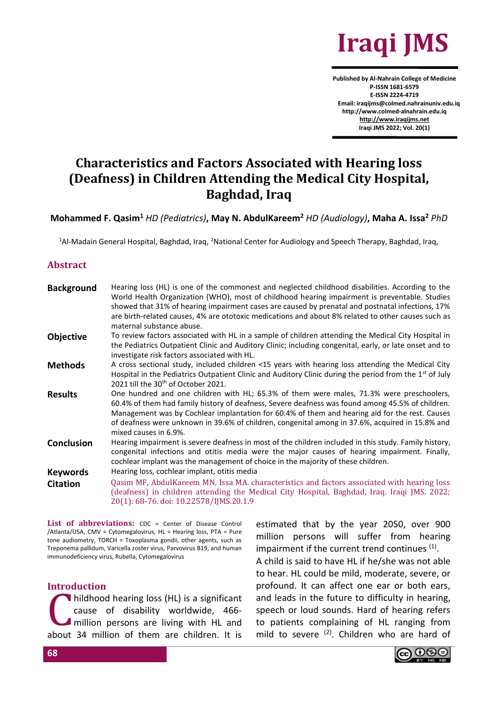

**Published by Al-Nahrain College of Medicine P-ISSN 1681-6579 E-ISSN 2224-4719 Email: iraqijms@colmed.nahrainuniv.edu.iq http://www.colmed-alnahrain.edu.iq [http://www.iraqijms.net](http://www.iraqijms.net/) Iraqi JMS 2022; Vol. 20(1)**

# **Characteristics and Factors Associated with Hearing loss (Deafness) in Children Attending the Medical City Hospital, Baghdad, Iraq**

**Mohammed F. Qasim<sup>1</sup>** *HD (Pediatrics)***, May N. AbdulKareem<sup>2</sup>** *HD (Audiology)***, Maha A. Issa<sup>2</sup>** *PhD*

<sup>1</sup>Al-Madain General Hospital, Baghdad, Iraq, <sup>2</sup>National Center for Audiology and Speech Therapy, Baghdad, Iraq,

#### **Abstract**

| <b>Objective</b><br>investigate risk factors associated with HL.<br><b>Methods</b><br>2021 till the 30 <sup>th</sup> of October 2021.<br><b>Results</b><br>mixed causes in 6.9%.<br>Conclusion<br>cochlear implant was the management of choice in the majority of these children.<br>Hearing loss, cochlear implant, otitis media<br><b>Keywords</b><br><b>Citation</b><br>20(1): 68-76. doi: 10.22578/IJMS.20.1.9 | <b>Background</b> | Hearing loss (HL) is one of the commonest and neglected childhood disabilities. According to the<br>World Health Organization (WHO), most of childhood hearing impairment is preventable. Studies<br>showed that 31% of hearing impairment cases are caused by prenatal and postnatal infections, 17%<br>are birth-related causes, 4% are ototoxic medications and about 8% related to other causes such as<br>maternal substance abuse. |
|---------------------------------------------------------------------------------------------------------------------------------------------------------------------------------------------------------------------------------------------------------------------------------------------------------------------------------------------------------------------------------------------------------------------|-------------------|------------------------------------------------------------------------------------------------------------------------------------------------------------------------------------------------------------------------------------------------------------------------------------------------------------------------------------------------------------------------------------------------------------------------------------------|
|                                                                                                                                                                                                                                                                                                                                                                                                                     |                   | To review factors associated with HL in a sample of children attending the Medical City Hospital in<br>the Pediatrics Outpatient Clinic and Auditory Clinic; including congenital, early, or late onset and to                                                                                                                                                                                                                           |
|                                                                                                                                                                                                                                                                                                                                                                                                                     |                   | A cross sectional study, included children <15 years with hearing loss attending the Medical City<br>Hospital in the Pediatrics Outpatient Clinic and Auditory Clinic during the period from the 1 <sup>st</sup> of July                                                                                                                                                                                                                 |
|                                                                                                                                                                                                                                                                                                                                                                                                                     |                   | One hundred and one children with HL; 65.3% of them were males, 71.3% were preschoolers,<br>60.4% of them had family history of deafness, Severe deafness was found among 45.5% of children.<br>Management was by Cochlear implantation for 60.4% of them and hearing aid for the rest. Causes<br>of deafness were unknown in 39.6% of children, congenital among in 37.6%, acquired in 15.8% and                                        |
|                                                                                                                                                                                                                                                                                                                                                                                                                     |                   | Hearing impairment is severe deafness in most of the children included in this study. Family history,<br>congenital infections and otitis media were the major causes of hearing impairment. Finally,                                                                                                                                                                                                                                    |
|                                                                                                                                                                                                                                                                                                                                                                                                                     |                   |                                                                                                                                                                                                                                                                                                                                                                                                                                          |
|                                                                                                                                                                                                                                                                                                                                                                                                                     |                   | Qasim MF, AbdulKareem MN, Issa MA. characteristics and factors associated with hearing loss<br>(deafness) in children attending the Medical City Hospital, Baghdad, Iraq. Iraqi JMS. 2022;                                                                                                                                                                                                                                               |

List of abbreviations: CDC = Center of Disease Control /Atlanta/USA, CMV = Cytomegalovirus, HL = Hearing loss, PTA = Pure tone audiometry, TORCH = Toxoplasma gondii, other agents, such as Treponema pallidum, Varicella zoster virus, Parvovirus B19, and human immunodeficiency virus, Rubella, Cytomegalovirus

#### **Introduction**

hildhood hearing loss (HL) is a significant cause of disability worldwide, 466 million persons are living with HL and about 34 million of them are children. It is C<sup></sup>

estimated that by the year 2050, over 900 million persons will suffer from hearing impairment if the current trend continues  $<sup>(1)</sup>$ .</sup>

A child is said to have HL if he/she was not able to hear. HL could be mild, moderate, severe, or profound. It can affect one ear or both ears, and leads in the future to difficulty in hearing, speech or loud sounds. Hard of hearing refers to patients complaining of HL ranging from mild to severe  $(2)$ . Children who are hard of

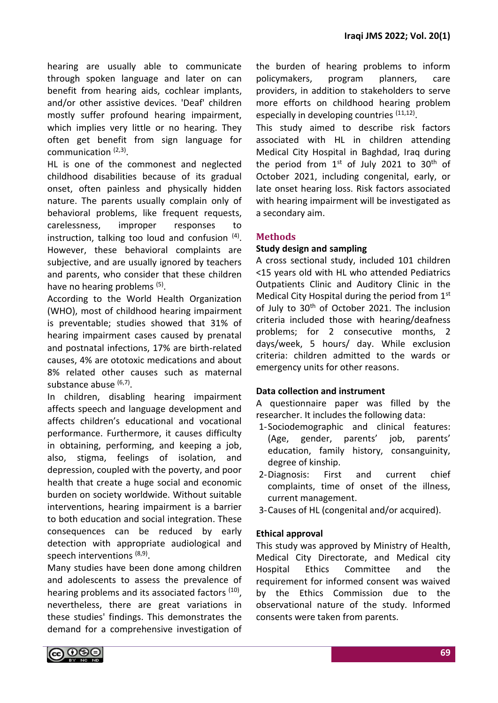hearing are usually able to communicate through spoken language and later on can benefit from hearing aids, cochlear implants, and/or other assistive devices. 'Deaf' children mostly suffer profound hearing impairment, which implies very little or no hearing. They often get benefit from sign language for communication <sup>(2,3)</sup>.

HL is one of the commonest and neglected childhood disabilities because of its gradual onset, often painless and physically hidden nature. The parents usually complain only of behavioral problems, like frequent requests, carelessness, improper responses to instruction, talking too loud and confusion <sup>(4)</sup>. However, these behavioral complaints are subjective, and are usually ignored by teachers and parents, who consider that these children have no hearing problems <sup>(5)</sup>.

According to the World Health Organization (WHO), most of childhood hearing impairment is preventable; studies showed that 31% of hearing impairment cases caused by prenatal and postnatal infections, 17% are birth-related causes, 4% are ototoxic medications and about 8% related other causes such as maternal substance abuse (6,7).

In children, disabling hearing impairment affects speech and language development and affects children's educational and vocational performance. Furthermore, it causes difficulty in obtaining, performing, and keeping a job, also, stigma, feelings of isolation, and depression, coupled with the poverty, and poor health that create a huge social and economic burden on society worldwide. Without suitable interventions, hearing impairment is a barrier to both education and social integration. These consequences can be reduced by early detection with appropriate audiological and speech interventions (8,9).

Many studies have been done among children and adolescents to assess the prevalence of hearing problems and its associated factors (10), nevertheless, there are great variations in these studies' findings. This demonstrates the demand for a comprehensive investigation of the burden of hearing problems to inform policymakers, program planners, care providers, in addition to stakeholders to serve more efforts on childhood hearing problem especially in developing countries (11,12).

This study aimed to describe risk factors associated with HL in children attending Medical City Hospital in Baghdad, Iraq during the period from 1st of July 2021 to 30<sup>th</sup> of October 2021, including congenital, early, or late onset hearing loss. Risk factors associated with hearing impairment will be investigated as a secondary aim.

## **Methods**

#### **Study design and sampling**

A cross sectional study, included 101 children <15 years old with HL who attended Pediatrics Outpatients Clinic and Auditory Clinic in the Medical City Hospital during the period from 1st of July to 30<sup>th</sup> of October 2021. The inclusion criteria included those with hearing/deafness problems; for 2 consecutive months, 2 days/week, 5 hours/ day. While exclusion criteria: children admitted to the wards or emergency units for other reasons.

## **Data collection and instrument**

A questionnaire paper was filled by the researcher. It includes the following data:

- 1-Sociodemographic and clinical features: (Age, gender, parents' job, parents' education, family history, consanguinity, degree of kinship.
- 2-Diagnosis: First and current chief complaints, time of onset of the illness, current management.
- 3-Causes of HL (congenital and/or acquired).

## **Ethical approval**

This study was approved by Ministry of Health, Medical City Directorate, and Medical city Hospital Ethics Committee and the requirement for informed consent was waived by the Ethics Commission due to the observational nature of the study. Informed consents were taken from parents.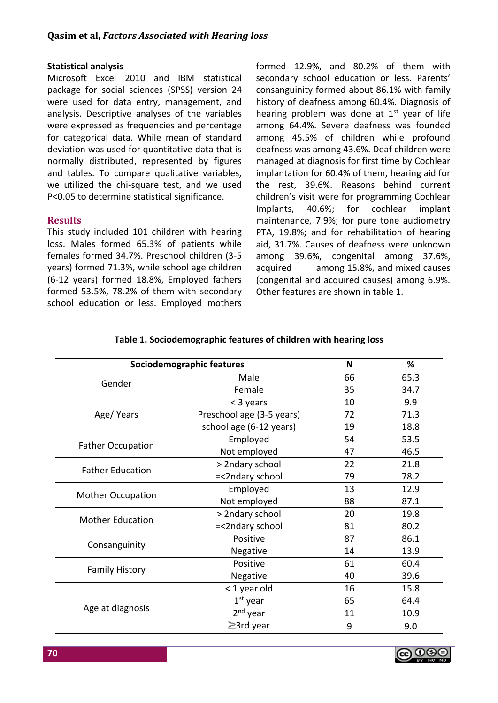#### **Statistical analysis**

Microsoft Excel 2010 and IBM statistical package for social sciences (SPSS) version 24 were used for data entry, management, and analysis. Descriptive analyses of the variables were expressed as frequencies and percentage for categorical data. While mean of standard deviation was used for quantitative data that is normally distributed, represented by figures and tables. To compare qualitative variables, we utilized the chi-square test, and we used P<0.05 to determine statistical significance.

#### **Results**

This study included 101 children with hearing loss. Males formed 65.3% of patients while females formed 34.7%. Preschool children (3-5 years) formed 71.3%, while school age children (6-12 years) formed 18.8%, Employed fathers formed 53.5%, 78.2% of them with secondary school education or less. Employed mothers formed 12.9%, and 80.2% of them with secondary school education or less. Parents' consanguinity formed about 86.1% with family history of deafness among 60.4%. Diagnosis of hearing problem was done at  $1<sup>st</sup>$  year of life among 64.4%. Severe deafness was founded among 45.5% of children while profound deafness was among 43.6%. Deaf children were managed at diagnosis for first time by Cochlear implantation for 60.4% of them, hearing aid for the rest, 39.6%. Reasons behind current children's visit were for programming Cochlear Implants, 40.6%; for cochlear implant maintenance, 7.9%; for pure tone audiometry PTA, 19.8%; and for rehabilitation of hearing aid, 31.7%. Causes of deafness were unknown among 39.6%, congenital among 37.6%, acquired among 15.8%, and mixed causes (congenital and acquired causes) among 6.9%. Other features are shown in table 1.

| Sociodemographic features | N                         | %  |      |
|---------------------------|---------------------------|----|------|
| Gender                    | Male                      | 66 | 65.3 |
|                           | Female                    | 35 | 34.7 |
|                           | < 3 years                 | 10 | 9.9  |
| Age/Years                 | Preschool age (3-5 years) | 72 | 71.3 |
|                           | school age (6-12 years)   | 19 | 18.8 |
| <b>Father Occupation</b>  | Employed                  | 54 | 53.5 |
|                           | Not employed              | 47 | 46.5 |
| <b>Father Education</b>   | > 2ndary school           | 22 | 21.8 |
|                           | =<2ndary school           | 79 | 78.2 |
|                           | Employed                  | 13 | 12.9 |
| <b>Mother Occupation</b>  | Not employed              | 88 | 87.1 |
| <b>Mother Education</b>   | > 2ndary school           | 20 | 19.8 |
|                           | =<2ndary school           | 81 | 80.2 |
|                           | Positive                  | 87 | 86.1 |
| Consanguinity             | Negative                  | 14 | 13.9 |
|                           | Positive                  | 61 | 60.4 |
| <b>Family History</b>     | Negative                  | 40 | 39.6 |
|                           | < 1 year old              | 16 | 15.8 |
|                           | $1st$ year                | 65 | 64.4 |
| Age at diagnosis          | $2nd$ year                | 11 | 10.9 |
|                           | $\geq$ 3rd year           | 9  | 9.0  |

## **Table 1. Sociodemographic features of children with hearing loss**

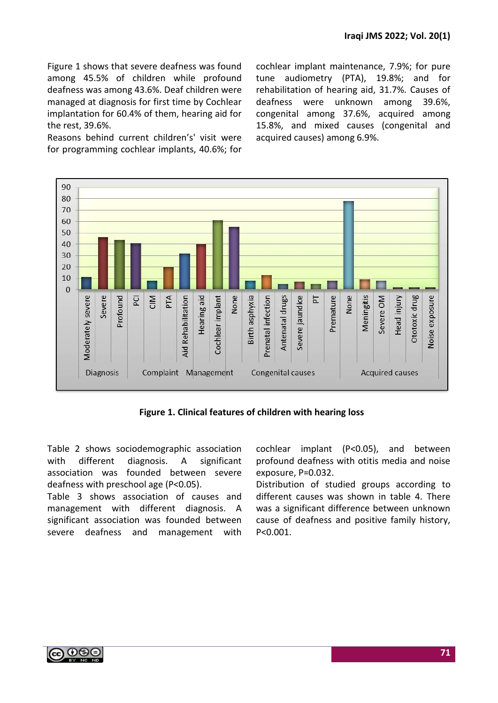Figure 1 shows that severe deafness was found among 45.5% of children while profound deafness was among 43.6%. Deaf children were managed at diagnosis for first time by Cochlear implantation for 60.4% of them, hearing aid for the rest, 39.6%.

Reasons behind current children's' visit were for programming cochlear implants, 40.6%; for

cochlear implant maintenance, 7.9%; for pure tune audiometry (PTA), 19.8%; and for rehabilitation of hearing aid, 31.7%. Causes of deafness were unknown among 39.6%, congenital among 37.6%, acquired among 15.8%, and mixed causes (congenital and acquired causes) among 6.9%.



**Figure 1. Clinical features of children with hearing loss**

Table 2 shows sociodemographic association with different diagnosis. A significant association was founded between severe deafness with preschool age (P<0.05).

Table 3 shows association of causes and management with different diagnosis. A significant association was founded between severe deafness and management with cochlear implant (P<0.05), and between profound deafness with otitis media and noise exposure, P=0.032.

Distribution of studied groups according to different causes was shown in table 4. There was a significant difference between unknown cause of deafness and positive family history, P<0.001.

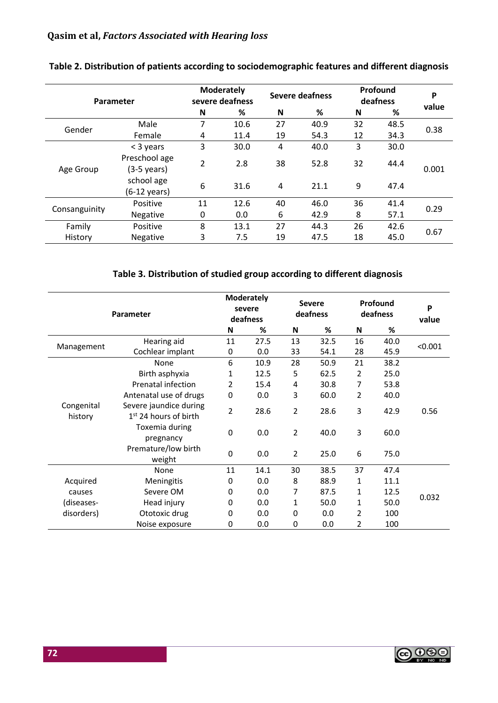| Parameter     |                                      | <b>Moderately</b><br>severe deafness |      | <b>Severe deafness</b> |      | Profound<br>deafness |      | P     |  |
|---------------|--------------------------------------|--------------------------------------|------|------------------------|------|----------------------|------|-------|--|
|               |                                      | N                                    | ℅    | N                      | %    | N                    | %    | value |  |
|               | Male                                 | 7                                    | 10.6 | 27                     | 40.9 | 32                   | 48.5 |       |  |
| Gender        | Female                               | 4                                    | 11.4 | 19                     | 54.3 | 12                   | 34.3 | 0.38  |  |
|               | $<$ 3 years                          | 3                                    | 30.0 | 4                      | 40.0 | 3                    | 30.0 |       |  |
| Age Group     | Preschool age<br>(3-5 years)         | $\overline{2}$                       | 2.8  | 38                     | 52.8 | 32                   | 44.4 | 0.001 |  |
|               | school age<br>$(6-12 \text{ years})$ | 6                                    | 31.6 | 4                      | 21.1 | 9                    | 47.4 |       |  |
|               | Positive                             | 11                                   | 12.6 | 40                     | 46.0 | 36                   | 41.4 | 0.29  |  |
| Consanguinity | <b>Negative</b>                      | 0                                    | 0.0  | 6                      | 42.9 | 8                    | 57.1 |       |  |
| Family        | Positive                             | 8                                    | 13.1 | 27                     | 44.3 | 26                   | 42.6 |       |  |
| History       | <b>Negative</b>                      | 3                                    | 7.5  | 19                     | 47.5 | 18                   | 45.0 | 0.67  |  |

## **Table 2. Distribution of patients according to sociodemographic features and different diagnosis**

# **Table 3. Distribution of studied group according to different diagnosis**

| Parameter             |                                                             | <b>Moderately</b><br>severe<br>deafness |      | <b>Severe</b><br>deafness |      | Profound<br>deafness |      | P<br>value |
|-----------------------|-------------------------------------------------------------|-----------------------------------------|------|---------------------------|------|----------------------|------|------------|
|                       |                                                             | N                                       | ℅    | N                         | %    | N                    | %    |            |
|                       | Hearing aid                                                 | 11                                      | 27.5 | 13                        | 32.5 | 16                   | 40.0 | < 0.001    |
| Management            | Cochlear implant                                            | 0                                       | 0.0  | 33                        | 54.1 | 28                   | 45.9 |            |
|                       | None                                                        | 6                                       | 10.9 | 28                        | 50.9 | 21                   | 38.2 |            |
|                       | Birth asphyxia                                              | 1                                       | 12.5 | 5                         | 62.5 | $\overline{2}$       | 25.0 |            |
|                       | Prenatal infection                                          | 2                                       | 15.4 | 4                         | 30.8 | 7                    | 53.8 |            |
|                       | Antenatal use of drugs                                      | 0                                       | 0.0  | 3                         | 60.0 | $\overline{2}$       | 40.0 |            |
| Congenital<br>history | Severe jaundice during<br>1 <sup>st</sup> 24 hours of birth | 2                                       | 28.6 | 2                         | 28.6 | 3                    | 42.9 | 0.56       |
|                       | Toxemia during<br>pregnancy                                 | 0                                       | 0.0  | $\overline{2}$            | 40.0 | 3                    | 60.0 |            |
|                       | Premature/low birth<br>weight                               | 0                                       | 0.0  | $\overline{2}$            | 25.0 | 6                    | 75.0 |            |
|                       | None                                                        | 11                                      | 14.1 | 30                        | 38.5 | 37                   | 47.4 |            |
| Acquired              | Meningitis                                                  | 0                                       | 0.0  | 8                         | 88.9 | $\mathbf{1}$         | 11.1 |            |
| causes                | Severe OM                                                   | 0                                       | 0.0  | 7                         | 87.5 | $\mathbf{1}$         | 12.5 | 0.032      |
| (diseases-            | Head injury                                                 | 0                                       | 0.0  | 1                         | 50.0 | 1                    | 50.0 |            |
| disorders)            | Ototoxic drug                                               | 0                                       | 0.0  | $\Omega$                  | 0.0  | $\overline{2}$       | 100  |            |
|                       | Noise exposure                                              | 0                                       | 0.0  | 0                         | 0.0  | 2                    | 100  |            |

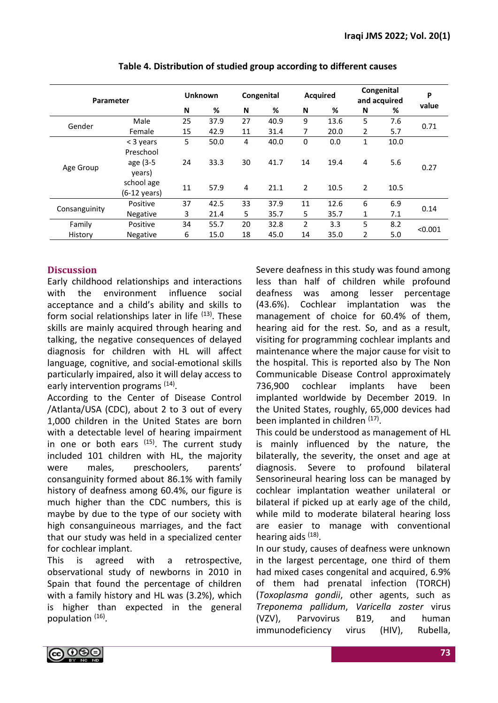| <b>Parameter</b> |                        | <b>Unknown</b> |      |    | Congenital |          | <b>Acquired</b> |                | Congenital<br>and acquired |         |
|------------------|------------------------|----------------|------|----|------------|----------|-----------------|----------------|----------------------------|---------|
|                  |                        | N              | %    | N  | %          | N        | %               | N              | %                          | value   |
| Gender           | Male                   | 25             | 37.9 | 27 | 40.9       | 9        | 13.6            | 5              | 7.6                        | 0.71    |
|                  | Female                 | 15             | 42.9 | 11 | 31.4       | 7        | 20.0            | $\overline{2}$ | 5.7                        |         |
|                  | < 3 years              | 5              | 50.0 | 4  | 40.0       | $\Omega$ | 0.0             | 1              | 10.0                       |         |
|                  | Preschool              |                |      |    |            |          |                 |                |                            |         |
|                  | age (3-5               | 24             | 33.3 | 30 | 41.7       | 14       | 19.4            | 4              | 5.6                        | 0.27    |
| Age Group        | years)                 |                |      |    |            |          |                 |                |                            |         |
|                  | school age             | 11             | 57.9 | 4  | 21.1       | 2        | 10.5            | $\overline{2}$ | 10.5                       |         |
|                  | $(6-12 \text{ years})$ |                |      |    |            |          |                 |                |                            |         |
|                  | Positive               | 37             | 42.5 | 33 | 37.9       | 11       | 12.6            | 6              | 6.9                        | 0.14    |
| Consanguinity    | <b>Negative</b>        | 3              | 21.4 | 5  | 35.7       | 5        | 35.7            | 1              | 7.1                        |         |
| Family           | Positive               | 34             | 55.7 | 20 | 32.8       | 2        | 3.3             | 5              | 8.2                        | < 0.001 |
| History          | <b>Negative</b>        | 6              | 15.0 | 18 | 45.0       | 14       | 35.0            | 2              | 5.0                        |         |

| Table 4. Distribution of studied group according to different causes |  |
|----------------------------------------------------------------------|--|
|----------------------------------------------------------------------|--|

## **Discussion**

Early childhood relationships and interactions with the environment influence social acceptance and a child's ability and skills to form social relationships later in life  $(13)$ . These skills are mainly acquired through hearing and talking, the negative consequences of delayed diagnosis for children with HL will affect language, cognitive, and social-emotional skills particularly impaired, also it will delay access to early intervention programs <sup>(14)</sup>.

According to the Center of Disease Control /Atlanta/USA (CDC), about 2 to 3 out of every 1,000 children in the United States are born with a detectable level of hearing impairment in one or both ears  $(15)$ . The current study included 101 children with HL, the majority were males, preschoolers, parents' consanguinity formed about 86.1% with family history of deafness among 60.4%, our figure is much higher than the CDC numbers, this is maybe by due to the type of our society with high consanguineous marriages, and the fact that our study was held in a specialized center for cochlear implant.

This is agreed with a retrospective, observational study of newborns in 2010 in Spain that found the percentage of children with a family history and HL was (3.2%), which is higher than expected in the general population (16).

Severe deafness in this study was found among less than half of children while profound deafness was among lesser percentage (43.6%). Cochlear implantation was the management of choice for 60.4% of them, hearing aid for the rest. So, and as a result, visiting for programming cochlear implants and maintenance where the major cause for visit to the hospital. This is reported also by The Non Communicable Disease Control approximately 736,900 cochlear implants have been implanted worldwide by December 2019. In the United States, roughly, 65,000 devices had been implanted in children <sup>(17)</sup>.

This could be understood as management of HL is mainly influenced by the nature, the bilaterally, the severity, the onset and age at diagnosis. Severe to profound bilateral Sensorineural hearing loss can be managed by cochlear implantation weather unilateral or bilateral if picked up at early age of the child, while mild to moderate bilateral hearing loss are easier to manage with conventional hearing aids (18).

In our study, causes of deafness were unknown in the largest percentage, one third of them had mixed cases congenital and acquired, 6.9% of them had prenatal infection (TORCH) (*Toxoplasma gondii*, other agents, such as *Treponema pallidum*, *Varicella zoster* virus (VZV), Parvovirus B19, and human immunodeficiency virus (HIV), Rubella,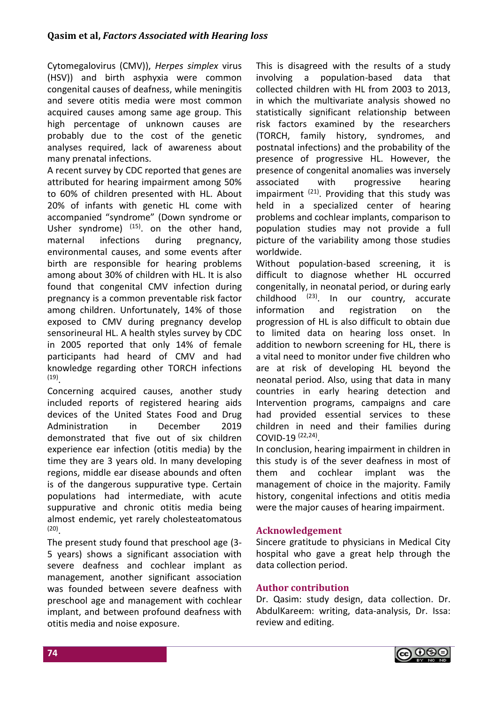Cytomegalovirus (CMV)), *Herpes simplex* virus (HSV)) and birth asphyxia were common congenital causes of deafness, while meningitis and severe otitis media were most common acquired causes among same age group. This high percentage of unknown causes are probably due to the cost of the genetic analyses required, lack of awareness about many prenatal infections.

A recent survey by CDC reported that genes are attributed for hearing impairment among 50% to 60% of children presented with HL. About 20% of infants with genetic HL come with accompanied "syndrome" (Down syndrome or Usher syndrome)  $(15)$ . on the other hand, maternal infections during pregnancy, environmental causes, and some events after birth are responsible for hearing problems among about 30% of children with HL. It is also found that congenital CMV infection during pregnancy is a common preventable risk factor among children. Unfortunately, 14% of those exposed to CMV during pregnancy develop sensorineural HL. A health styles survey by CDC in 2005 reported that only 14% of female participants had heard of CMV and had knowledge regarding other TORCH infections (19) .

Concerning acquired causes, another study included reports of registered hearing aids devices of the United States Food and Drug Administration in December 2019 demonstrated that five out of six children experience ear infection (otitis media) by the time they are 3 years old. In many developing regions, middle ear disease abounds and often is of the dangerous suppurative type. Certain populations had intermediate, with acute suppurative and chronic otitis media being almost endemic, yet rarely cholesteatomatous (20) .

The present study found that preschool age (3- 5 years) shows a significant association with severe deafness and cochlear implant as management, another significant association was founded between severe deafness with preschool age and management with cochlear implant, and between profound deafness with otitis media and noise exposure.

This is disagreed with the results of a study involving a population-based data that collected children with HL from 2003 to 2013, in which the multivariate analysis showed no statistically significant relationship between risk factors examined by the researchers (TORCH, family history, syndromes, and postnatal infections) and the probability of the presence of progressive HL. However, the presence of congenital anomalies was inversely associated with progressive hearing impairment  $(21)$ . Providing that this study was held in a specialized center of hearing problems and cochlear implants, comparison to population studies may not provide a full picture of the variability among those studies worldwide.

Without population-based screening, it is difficult to diagnose whether HL occurred congenitally, in neonatal period, or during early childhood  $(23)$ . In our country, accurate information and registration on the progression of HL is also difficult to obtain due to limited data on hearing loss onset. In addition to newborn screening for HL, there is a vital need to monitor under five children who are at risk of developing HL beyond the neonatal period. Also, using that data in many countries in early hearing detection and Intervention programs, campaigns and care had provided essential services to these children in need and their families during COVID-19 (22,24) .

In conclusion, hearing impairment in children in this study is of the sever deafness in most of them and cochlear implant was the management of choice in the majority. Family history, congenital infections and otitis media were the major causes of hearing impairment.

## **Acknowledgement**

Sincere gratitude to physicians in Medical City hospital who gave a great help through the data collection period.

## **Author contribution**

Dr. Qasim: study design, data collection. Dr. AbdulKareem: writing, data-analysis, Dr. Issa: review and editing.

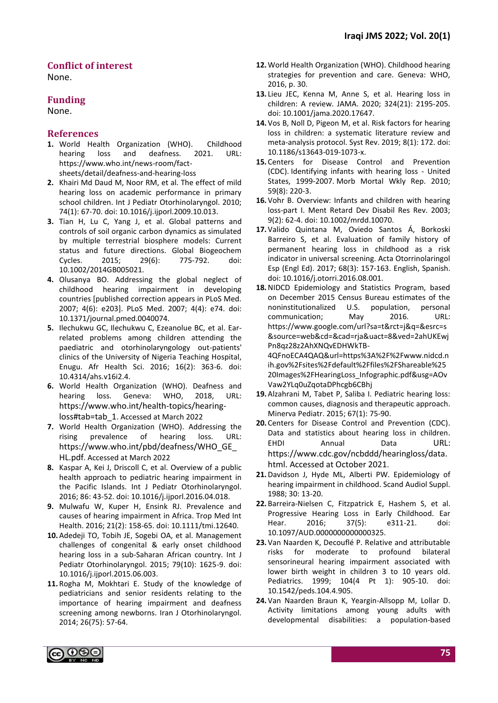#### **Conflict of interest**

None.

#### **Funding**

None.

#### **References**

- **1.** World Health Organization (WHO). Childhood hearing loss and deafness. 2021. URL: https://www.who.int/news-room/factsheets/detail/deafness-and-hearing-loss
- **2.** Khairi Md Daud M, Noor RM, et al. The effect of mild hearing loss on academic performance in primary school children. Int J Pediatr Otorhinolaryngol. 2010; 74(1): 67-70. doi: 10.1016/j.ijporl.2009.10.013.
- **3.** Tian H, Lu C, Yang J, et al. Global patterns and controls of soil organic carbon dynamics as simulated by multiple terrestrial biosphere models: Current status and future directions. Global Biogeochem Cycles. 2015; 29(6): 775-792. doi: 10.1002/2014GB005021.
- **4.** Olusanya BO. Addressing the global neglect of childhood hearing impairment in developing countries [published correction appears in PLoS Med. 2007; 4(6): e203]. PLoS Med. 2007; 4(4): e74. doi: 10.1371/journal.pmed.0040074.
- **5.** Ilechukwu GC, Ilechukwu C, Ezeanolue BC, et al. Earrelated problems among children attending the paediatric and otorhinolaryngology out-patients' clinics of the University of Nigeria Teaching Hospital, Enugu. Afr Health Sci. 2016; 16(2): 363-6. doi: 10.4314/ahs.v16i2.4.
- **6.** World Health Organization (WHO). Deafness and hearing loss. Geneva: WHO, 2018, URL: [https://www.who.int/health-topics/hearing](https://www.who.int/health-topics/hearing-loss#tab=tab_1)[loss#tab=tab\\_1](https://www.who.int/health-topics/hearing-loss#tab=tab_1). Accessed at March 2022
- **7.** World Health Organization (WHO). Addressing the rising prevalence of hearing loss. URL: [https://www.who.int/pbd/deafness/WHO\\_GE\\_](https://www.who.int/pbd/deafness/WHO_GE_HL.pdf) [HL.pdf](https://www.who.int/pbd/deafness/WHO_GE_HL.pdf). Accessed at March 2022
- **8.** Kaspar A, Kei J, Driscoll C, et al. Overview of a public health approach to pediatric hearing impairment in the Pacific Islands. Int J Pediatr Otorhinolaryngol. 2016; 86: 43-52. doi: 10.1016/j.ijporl.2016.04.018.
- **9.** Mulwafu W, Kuper H, Ensink RJ. Prevalence and causes of hearing impairment in Africa. Trop Med Int Health. 2016; 21(2): 158-65. doi: 10.1111/tmi.12640.
- **10.**Adedeji TO, Tobih JE, Sogebi OA, et al. Management challenges of congenital & early onset childhood hearing loss in a sub-Saharan African country. Int J Pediatr Otorhinolaryngol. 2015; 79(10): 1625-9. doi: 10.1016/j.ijporl.2015.06.003.
- **11.** Rogha M, Mokhtari E. Study of the knowledge of pediatricians and senior residents relating to the importance of hearing impairment and deafness screening among newborns. Iran J Otorhinolaryngol. 2014; 26(75): 57-64.
- **12.**World Health Organization (WHO). Childhood hearing strategies for prevention and care. Geneva: WHO, 2016, p. 30.
- **13.** Lieu JEC, Kenna M, Anne S, et al. Hearing loss in children: A review. JAMA. 2020; 324(21): 2195-205. doi: 10.1001/jama.2020.17647.
- **14.** Vos B, Noll D, Pigeon M, et al. Risk factors for hearing loss in children: a systematic literature review and meta-analysis protocol. Syst Rev. 2019; 8(1): 172. doi: 10.1186/s13643-019-1073-x.
- **15.** Centers for Disease Control and Prevention (CDC). [Identifying infants with hearing loss -](https://www.cdc.gov/mmwr/preview/mmwrhtml/mm5908a2.htm) United [States, 1999-2007.](https://www.cdc.gov/mmwr/preview/mmwrhtml/mm5908a2.htm) Morb Mortal Wkly Rep. 2010; 59(8): 220-3.
- **16.** Vohr B. Overview: Infants and children with hearing loss-part I. Ment Retard Dev Disabil Res Rev. 2003; 9(2): 62-4. doi: 10.1002/mrdd.10070.
- **17.** Valido Quintana M, Oviedo Santos Á, Borkoski Barreiro S, et al. Evaluation of family history of permanent hearing loss in childhood as a risk indicator in universal screening. Acta Otorrinolaringol Esp (Engl Ed). 2017; 68(3): 157-163. English, Spanish. doi: 10.1016/j.otorri.2016.08.001.
- **18.**NIDCD Epidemiology and Statistics Program, based on December 2015 Census Bureau estimates of the noninstitutionalized U.S. population, personal communication; May 2016. URL: https://www.google.com/url?sa=t&rct=j&q=&esrc=s &source=web&cd=&cad=rja&uact=8&ved=2ahUKEwj Pn8qz28z2AhXNQvEDHWkTB-4QFnoECA4QAQ&url=https%3A%2F%2Fwww.nidcd.n

ih.gov%2Fsites%2Fdefault%2Ffiles%2FShareable%25 20Images%2FHearingLoss\_Infographic.pdf&usg=AOv Vaw2YLq0uZqotaDPhcgb6CBhj

- **19.**Alzahrani M, Tabet P, Saliba I. Pediatric hearing loss: common causes, diagnosis and therapeutic approach. Minerva Pediatr. 2015; 67(1): 75-90.
- **20.** Centers for Disease Control and Prevention (CDC). Data and statistics about hearing loss in children. [EHDI Annual Data](https://www.cdc.gov/ncbddd/hearingloss/ehdi-data.html) [URL:](https://www.cdc.gov/ncbddd/hearingloss/data.html.%20Accessed%20at%20October%202021)  [https://www.cdc.gov/ncbddd/hearingloss/data.](https://www.cdc.gov/ncbddd/hearingloss/data.html.%20Accessed%20at%20October%202021) [html. Accessed at October 2021](https://www.cdc.gov/ncbddd/hearingloss/data.html.%20Accessed%20at%20October%202021).
- **21.**Davidson J, Hyde ML, Alberti PW. Epidemiology of hearing impairment in childhood. Scand Audiol Suppl. 1988; 30: 13-20.
- **22.** Barreira-Nielsen C, Fitzpatrick E, Hashem S, et al. Progressive Hearing Loss in Early Childhood. Ear Hear. 2016; 37(5): e311-21. doi: 10.1097/AUD.0000000000000325.
- **23.** Van Naarden K, Decouflé P. Relative and attributable risks for moderate to profound bilateral sensorineural hearing impairment associated with lower birth weight in children 3 to 10 years old. Pediatrics. 1999; 104(4 Pt 1): 905-10. doi: 10.1542/peds.104.4.905.
- **24.** Van Naarden Braun K, Yeargin-Allsopp M, Lollar D. Activity limitations among young adults with developmental disabilities: a population-based